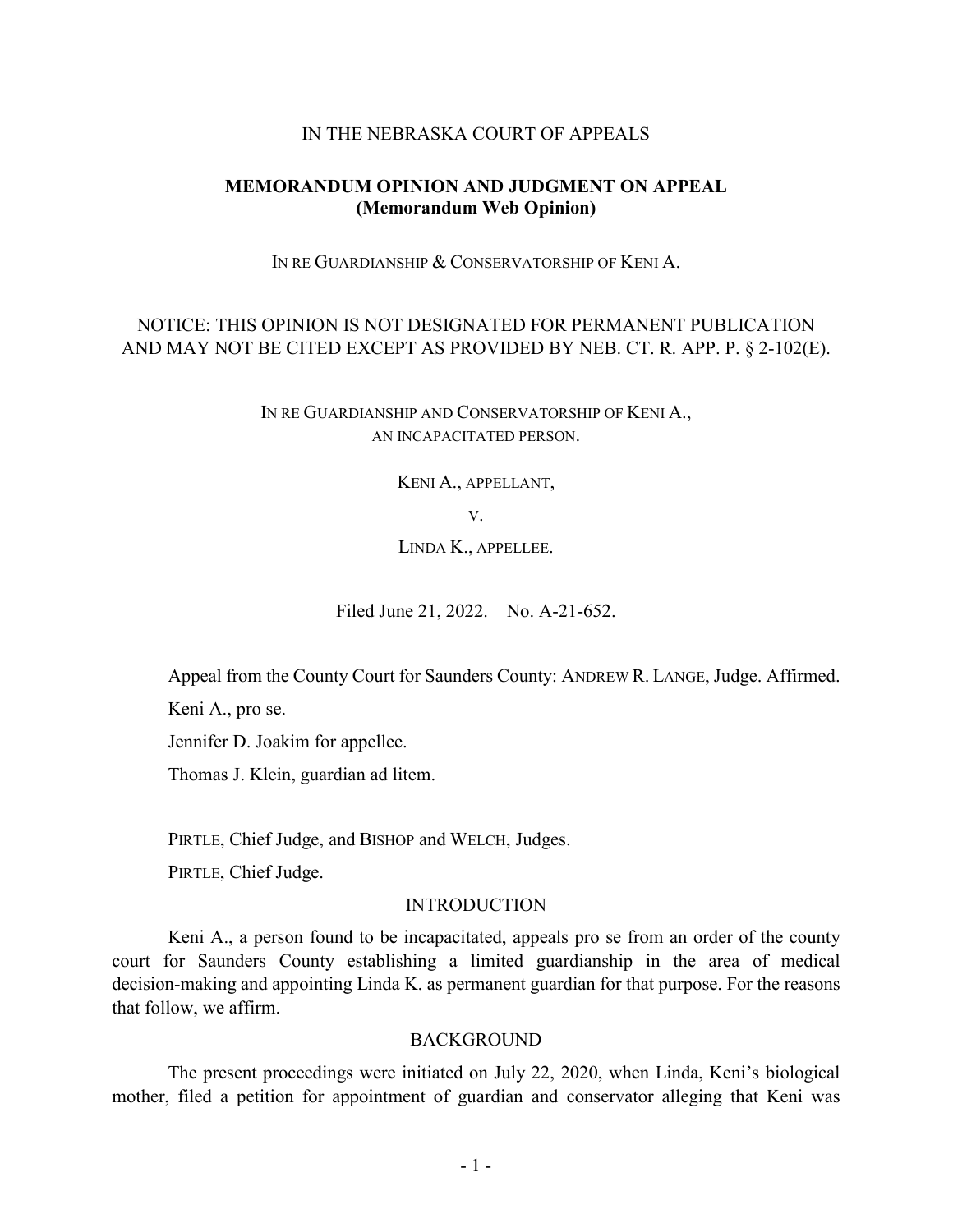### IN THE NEBRASKA COURT OF APPEALS

## **MEMORANDUM OPINION AND JUDGMENT ON APPEAL (Memorandum Web Opinion)**

IN RE GUARDIANSHIP & CONSERVATORSHIP OF KENI A.

# NOTICE: THIS OPINION IS NOT DESIGNATED FOR PERMANENT PUBLICATION AND MAY NOT BE CITED EXCEPT AS PROVIDED BY NEB. CT. R. APP. P. § 2-102(E).

IN RE GUARDIANSHIP AND CONSERVATORSHIP OF KENI A., AN INCAPACITATED PERSON.

KENI A., APPELLANT,

V.

LINDA K., APPELLEE.

Filed June 21, 2022. No. A-21-652.

Appeal from the County Court for Saunders County: ANDREW R. LANGE, Judge. Affirmed.

Keni A., pro se.

Jennifer D. Joakim for appellee.

Thomas J. Klein, guardian ad litem.

PIRTLE, Chief Judge, and BISHOP and WELCH, Judges.

PIRTLE, Chief Judge.

#### INTRODUCTION

Keni A., a person found to be incapacitated, appeals pro se from an order of the county court for Saunders County establishing a limited guardianship in the area of medical decision-making and appointing Linda K. as permanent guardian for that purpose. For the reasons that follow, we affirm.

#### **BACKGROUND**

The present proceedings were initiated on July 22, 2020, when Linda, Keni's biological mother, filed a petition for appointment of guardian and conservator alleging that Keni was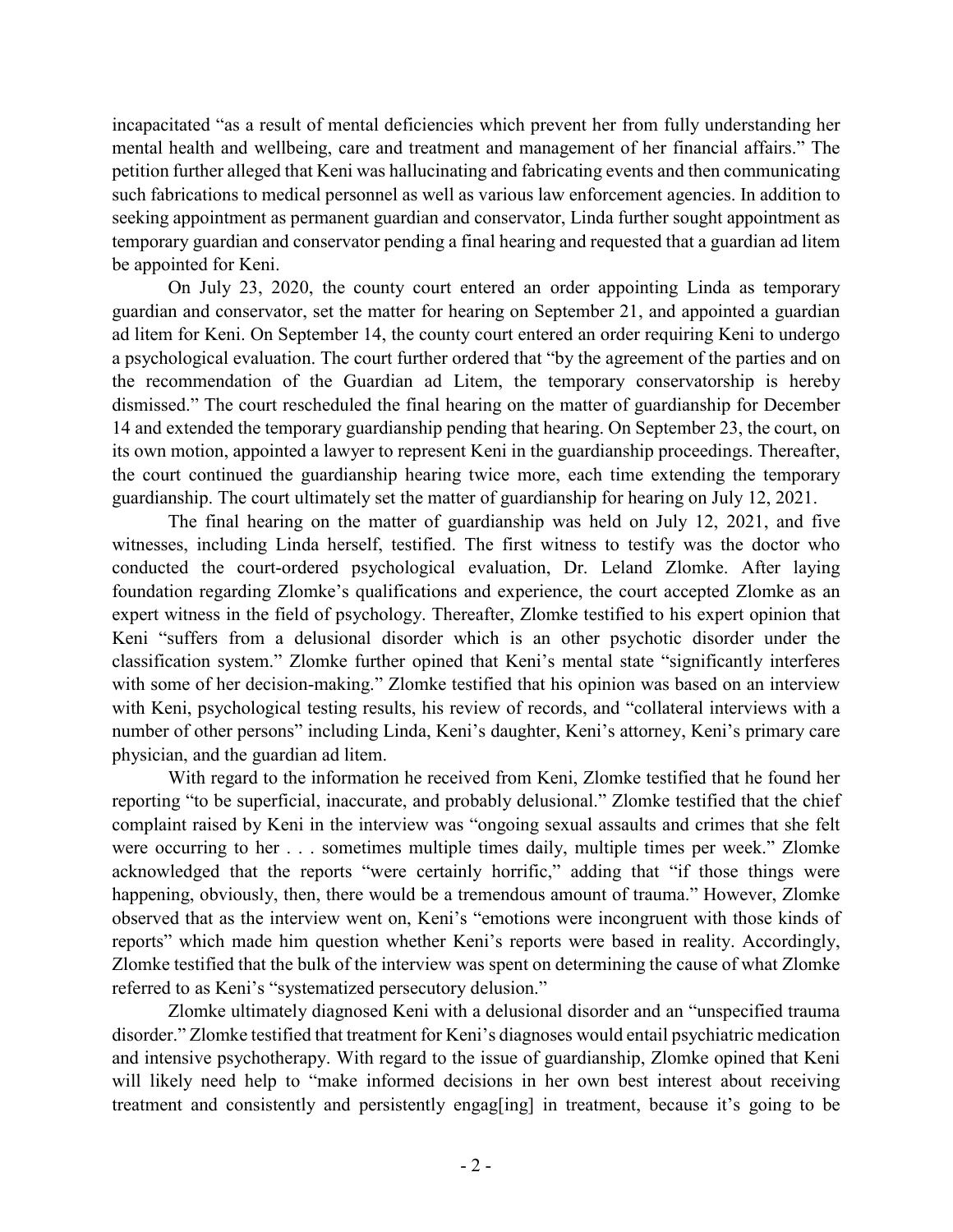incapacitated "as a result of mental deficiencies which prevent her from fully understanding her mental health and wellbeing, care and treatment and management of her financial affairs." The petition further alleged that Keni was hallucinating and fabricating events and then communicating such fabrications to medical personnel as well as various law enforcement agencies. In addition to seeking appointment as permanent guardian and conservator, Linda further sought appointment as temporary guardian and conservator pending a final hearing and requested that a guardian ad litem be appointed for Keni.

On July 23, 2020, the county court entered an order appointing Linda as temporary guardian and conservator, set the matter for hearing on September 21, and appointed a guardian ad litem for Keni. On September 14, the county court entered an order requiring Keni to undergo a psychological evaluation. The court further ordered that "by the agreement of the parties and on the recommendation of the Guardian ad Litem, the temporary conservatorship is hereby dismissed." The court rescheduled the final hearing on the matter of guardianship for December 14 and extended the temporary guardianship pending that hearing. On September 23, the court, on its own motion, appointed a lawyer to represent Keni in the guardianship proceedings. Thereafter, the court continued the guardianship hearing twice more, each time extending the temporary guardianship. The court ultimately set the matter of guardianship for hearing on July 12, 2021.

The final hearing on the matter of guardianship was held on July 12, 2021, and five witnesses, including Linda herself, testified. The first witness to testify was the doctor who conducted the court-ordered psychological evaluation, Dr. Leland Zlomke. After laying foundation regarding Zlomke's qualifications and experience, the court accepted Zlomke as an expert witness in the field of psychology. Thereafter, Zlomke testified to his expert opinion that Keni "suffers from a delusional disorder which is an other psychotic disorder under the classification system." Zlomke further opined that Keni's mental state "significantly interferes with some of her decision-making." Zlomke testified that his opinion was based on an interview with Keni, psychological testing results, his review of records, and "collateral interviews with a number of other persons" including Linda, Keni's daughter, Keni's attorney, Keni's primary care physician, and the guardian ad litem.

With regard to the information he received from Keni, Zlomke testified that he found her reporting "to be superficial, inaccurate, and probably delusional." Zlomke testified that the chief complaint raised by Keni in the interview was "ongoing sexual assaults and crimes that she felt were occurring to her . . . sometimes multiple times daily, multiple times per week." Zlomke acknowledged that the reports "were certainly horrific," adding that "if those things were happening, obviously, then, there would be a tremendous amount of trauma." However, Zlomke observed that as the interview went on, Keni's "emotions were incongruent with those kinds of reports" which made him question whether Keni's reports were based in reality. Accordingly, Zlomke testified that the bulk of the interview was spent on determining the cause of what Zlomke referred to as Keni's "systematized persecutory delusion."

Zlomke ultimately diagnosed Keni with a delusional disorder and an "unspecified trauma disorder." Zlomke testified that treatment for Keni's diagnoses would entail psychiatric medication and intensive psychotherapy. With regard to the issue of guardianship, Zlomke opined that Keni will likely need help to "make informed decisions in her own best interest about receiving treatment and consistently and persistently engag[ing] in treatment, because it's going to be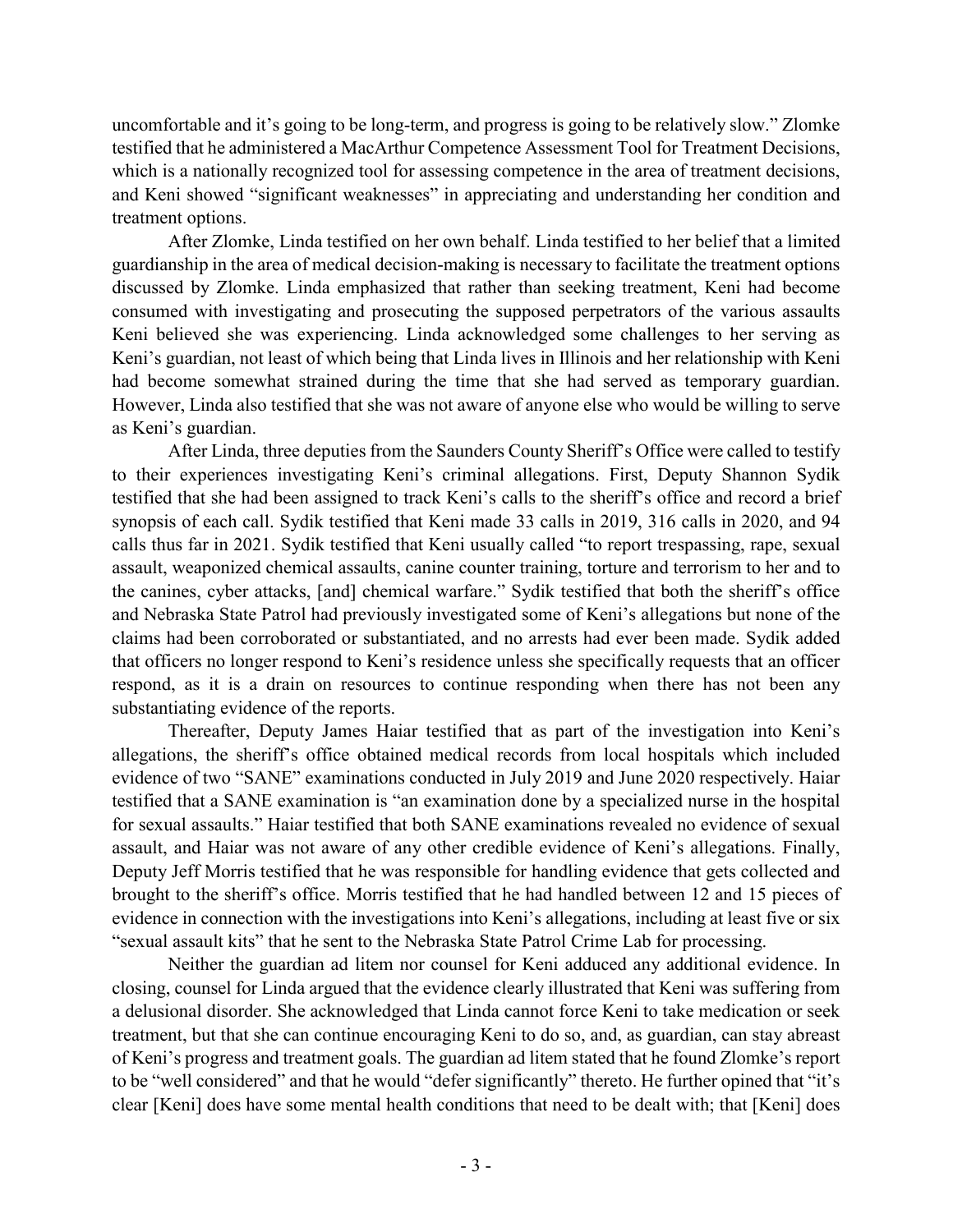uncomfortable and it's going to be long-term, and progress is going to be relatively slow." Zlomke testified that he administered a MacArthur Competence Assessment Tool for Treatment Decisions, which is a nationally recognized tool for assessing competence in the area of treatment decisions, and Keni showed "significant weaknesses" in appreciating and understanding her condition and treatment options.

After Zlomke, Linda testified on her own behalf. Linda testified to her belief that a limited guardianship in the area of medical decision-making is necessary to facilitate the treatment options discussed by Zlomke. Linda emphasized that rather than seeking treatment, Keni had become consumed with investigating and prosecuting the supposed perpetrators of the various assaults Keni believed she was experiencing. Linda acknowledged some challenges to her serving as Keni's guardian, not least of which being that Linda lives in Illinois and her relationship with Keni had become somewhat strained during the time that she had served as temporary guardian. However, Linda also testified that she was not aware of anyone else who would be willing to serve as Keni's guardian.

After Linda, three deputies from the Saunders County Sheriff's Office were called to testify to their experiences investigating Keni's criminal allegations. First, Deputy Shannon Sydik testified that she had been assigned to track Keni's calls to the sheriff's office and record a brief synopsis of each call. Sydik testified that Keni made 33 calls in 2019, 316 calls in 2020, and 94 calls thus far in 2021. Sydik testified that Keni usually called "to report trespassing, rape, sexual assault, weaponized chemical assaults, canine counter training, torture and terrorism to her and to the canines, cyber attacks, [and] chemical warfare." Sydik testified that both the sheriff's office and Nebraska State Patrol had previously investigated some of Keni's allegations but none of the claims had been corroborated or substantiated, and no arrests had ever been made. Sydik added that officers no longer respond to Keni's residence unless she specifically requests that an officer respond, as it is a drain on resources to continue responding when there has not been any substantiating evidence of the reports.

Thereafter, Deputy James Haiar testified that as part of the investigation into Keni's allegations, the sheriff's office obtained medical records from local hospitals which included evidence of two "SANE" examinations conducted in July 2019 and June 2020 respectively. Haiar testified that a SANE examination is "an examination done by a specialized nurse in the hospital for sexual assaults." Haiar testified that both SANE examinations revealed no evidence of sexual assault, and Haiar was not aware of any other credible evidence of Keni's allegations. Finally, Deputy Jeff Morris testified that he was responsible for handling evidence that gets collected and brought to the sheriff's office. Morris testified that he had handled between 12 and 15 pieces of evidence in connection with the investigations into Keni's allegations, including at least five or six "sexual assault kits" that he sent to the Nebraska State Patrol Crime Lab for processing.

Neither the guardian ad litem nor counsel for Keni adduced any additional evidence. In closing, counsel for Linda argued that the evidence clearly illustrated that Keni was suffering from a delusional disorder. She acknowledged that Linda cannot force Keni to take medication or seek treatment, but that she can continue encouraging Keni to do so, and, as guardian, can stay abreast of Keni's progress and treatment goals. The guardian ad litem stated that he found Zlomke's report to be "well considered" and that he would "defer significantly" thereto. He further opined that "it's clear [Keni] does have some mental health conditions that need to be dealt with; that [Keni] does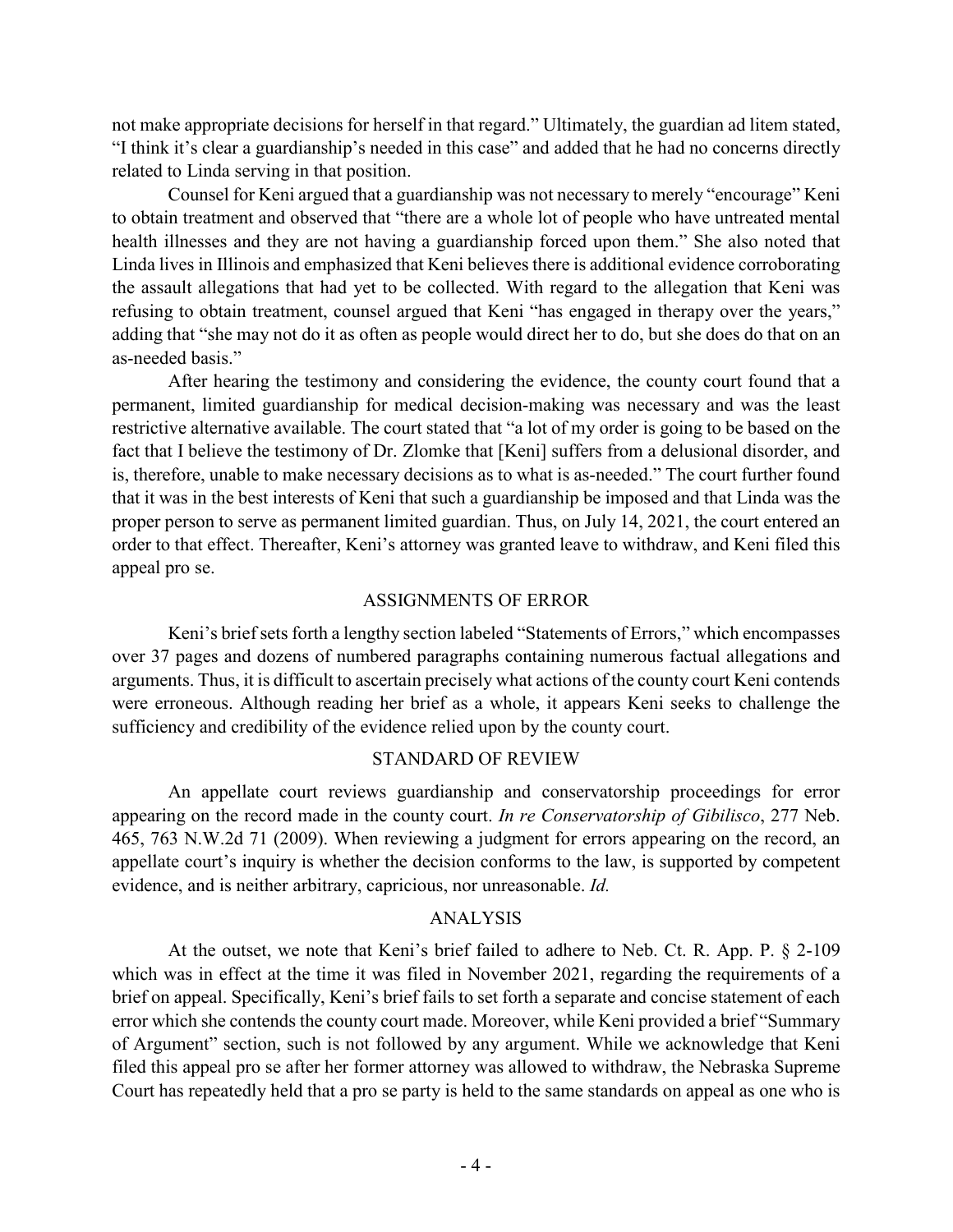not make appropriate decisions for herself in that regard." Ultimately, the guardian ad litem stated, "I think it's clear a guardianship's needed in this case" and added that he had no concerns directly related to Linda serving in that position.

Counsel for Keni argued that a guardianship was not necessary to merely "encourage" Keni to obtain treatment and observed that "there are a whole lot of people who have untreated mental health illnesses and they are not having a guardianship forced upon them." She also noted that Linda lives in Illinois and emphasized that Keni believes there is additional evidence corroborating the assault allegations that had yet to be collected. With regard to the allegation that Keni was refusing to obtain treatment, counsel argued that Keni "has engaged in therapy over the years," adding that "she may not do it as often as people would direct her to do, but she does do that on an as-needed basis."

After hearing the testimony and considering the evidence, the county court found that a permanent, limited guardianship for medical decision-making was necessary and was the least restrictive alternative available. The court stated that "a lot of my order is going to be based on the fact that I believe the testimony of Dr. Zlomke that [Keni] suffers from a delusional disorder, and is, therefore, unable to make necessary decisions as to what is as-needed." The court further found that it was in the best interests of Keni that such a guardianship be imposed and that Linda was the proper person to serve as permanent limited guardian. Thus, on July 14, 2021, the court entered an order to that effect. Thereafter, Keni's attorney was granted leave to withdraw, and Keni filed this appeal pro se.

#### ASSIGNMENTS OF ERROR

Keni's brief sets forth a lengthy section labeled "Statements of Errors," which encompasses over 37 pages and dozens of numbered paragraphs containing numerous factual allegations and arguments. Thus, it is difficult to ascertain precisely what actions of the county court Keni contends were erroneous. Although reading her brief as a whole, it appears Keni seeks to challenge the sufficiency and credibility of the evidence relied upon by the county court.

## STANDARD OF REVIEW

An appellate court reviews guardianship and conservatorship proceedings for error appearing on the record made in the county court. *In re Conservatorship of Gibilisco*, 277 Neb. 465, 763 N.W.2d 71 (2009). When reviewing a judgment for errors appearing on the record, an appellate court's inquiry is whether the decision conforms to the law, is supported by competent evidence, and is neither arbitrary, capricious, nor unreasonable. *Id.*

## ANALYSIS

At the outset, we note that Keni's brief failed to adhere to Neb. Ct. R. App. P. § 2-109 which was in effect at the time it was filed in November 2021, regarding the requirements of a brief on appeal. Specifically, Keni's brief fails to set forth a separate and concise statement of each error which she contends the county court made. Moreover, while Keni provided a brief "Summary of Argument" section, such is not followed by any argument. While we acknowledge that Keni filed this appeal pro se after her former attorney was allowed to withdraw, the Nebraska Supreme Court has repeatedly held that a pro se party is held to the same standards on appeal as one who is